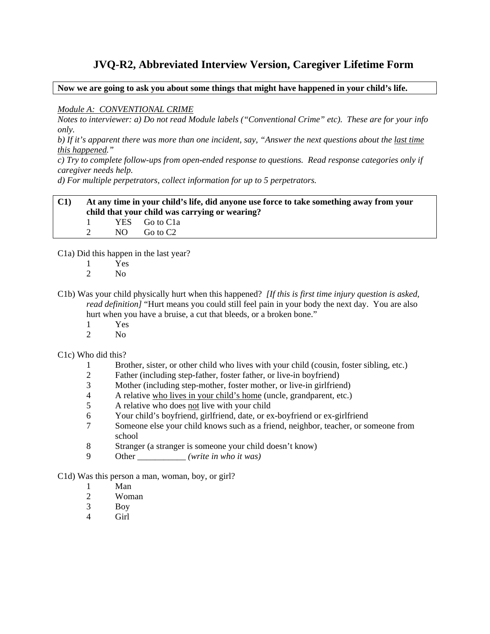# **JVQ-R2, Abbreviated Interview Version, Caregiver Lifetime Form**

**Now we are going to ask you about some things that might have happened in your child's life.** 

### *Module A: CONVENTIONAL CRIME*

*Notes to interviewer: a) Do not read Module labels ("Conventional Crime" etc). These are for your info only.* 

*b) If it's apparent there was more than one incident, say, "Answer the next questions about the last time this happened."* 

*c) Try to complete follow-ups from open-ended response to questions. Read response categories only if caregiver needs help.* 

*d) For multiple perpetrators, collect information for up to 5 perpetrators.* 

### **C1) At any time in your child's life, did anyone use force to take something away from your child that your child was carrying or wearing?**  1 YES Go to C1a

2 NO Go to C2

C1a) Did this happen in the last year?

- 1 Yes
- 2 No

C1b) Was your child physically hurt when this happened? *[If this is first time injury question is asked, read definition]* "Hurt means you could still feel pain in your body the next day. You are also hurt when you have a bruise, a cut that bleeds, or a broken bone."

- 1 Yes
- 2 No

C1c) Who did this?

- 1 Brother, sister, or other child who lives with your child (cousin, foster sibling, etc.)
- 2 Father (including step-father, foster father, or live-in boyfriend)
- 3 Mother (including step-mother, foster mother, or live-in girlfriend)
- 4 A relative who lives in your child's home (uncle, grandparent, etc.)
- 5 A relative who does not live with your child
- 6 Your child's boyfriend, girlfriend, date, or ex-boyfriend or ex-girlfriend
- 7 Someone else your child knows such as a friend, neighbor, teacher, or someone from school
- 8 Stranger (a stranger is someone your child doesn't know)
- 9 Other \_\_\_\_\_\_\_\_\_\_\_ *(write in who it was)*

C1d) Was this person a man, woman, boy, or girl?

- 1 Man
- 2 Woman
- 3 Boy
- 4 Girl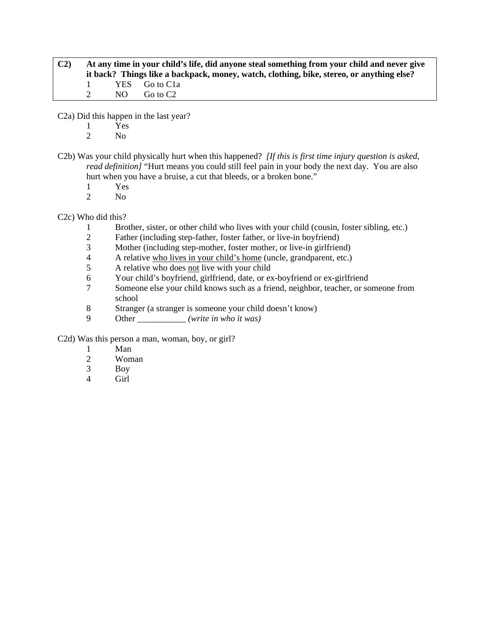| C <sub>2</sub> | At any time in your child's life, did anyone steal something from your child and never give<br>it back? Things like a backpack, money, watch, clothing, bike, stereo, or anything else? |       |               |  |  |  |
|----------------|-----------------------------------------------------------------------------------------------------------------------------------------------------------------------------------------|-------|---------------|--|--|--|
|                |                                                                                                                                                                                         |       | YES Go to Cla |  |  |  |
|                |                                                                                                                                                                                         | NO 11 | Go to C2      |  |  |  |

C2a) Did this happen in the last year?

- 1 Yes
- 2 No
- C2b) Was your child physically hurt when this happened? *[If this is first time injury question is asked, read definition]* "Hurt means you could still feel pain in your body the next day. You are also hurt when you have a bruise, a cut that bleeds, or a broken bone."
	- 1 Yes
	- 2 No

C2c) Who did this?

- 1 Brother, sister, or other child who lives with your child (cousin, foster sibling, etc.)
- 2 Father (including step-father, foster father, or live-in boyfriend)<br>3 Mother (including step-mother, foster mother, or live-in girlfrien
- 3 Mother (including step-mother, foster mother, or live-in girlfriend)
- 4 A relative who lives in your child's home (uncle, grandparent, etc.)
- 5 A relative who does not live with your child
- 6 Your child's boyfriend, girlfriend, date, or ex-boyfriend or ex-girlfriend
- 7 Someone else your child knows such as a friend, neighbor, teacher, or someone from school
- 8 Stranger (a stranger is someone your child doesn't know)<br>9 Other (write in who it was)
- Other *(write in who it was)*

C2d) Was this person a man, woman, boy, or girl?

- 1 Man
- 2 Woman
- 3 Boy
- 4 Girl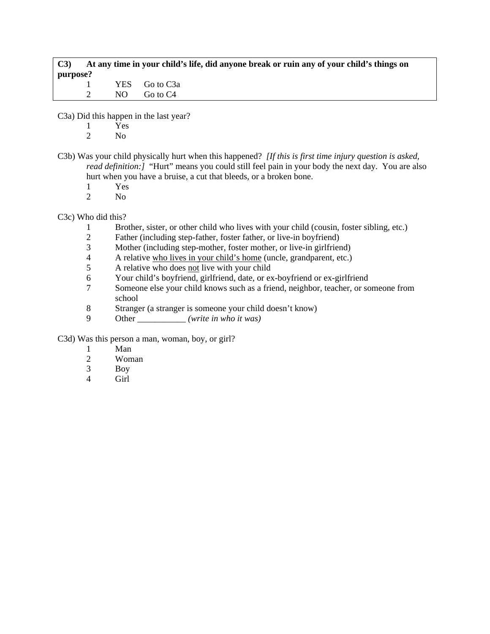**C3) At any time in your child's life, did anyone break or ruin any of your child's things on purpose?**   $YES$  Go to  $C3a$ 

| 1 LA) | - OU IV CJ6 |
|-------|-------------|
| NΟ    | Go to C4    |

C3a) Did this happen in the last year?

- 1 Yes
- 2 No
- C3b) Was your child physically hurt when this happened? *[If this is first time injury question is asked, read definition:]* "Hurt" means you could still feel pain in your body the next day. You are also hurt when you have a bruise, a cut that bleeds, or a broken bone.
	- 1 Yes
	- 2 No

C3c) Who did this?

- 1 Brother, sister, or other child who lives with your child (cousin, foster sibling, etc.)
- 2 Father (including step-father, foster father, or live-in boyfriend)<br>3 Mother (including step-mother, foster mother, or live-in girlfrien
- 3 Mother (including step-mother, foster mother, or live-in girlfriend)
- 4 A relative who lives in your child's home (uncle, grandparent, etc.)
- 5 A relative who does not live with your child
- 6 Your child's boyfriend, girlfriend, date, or ex-boyfriend or ex-girlfriend
- 7 Someone else your child knows such as a friend, neighbor, teacher, or someone from school
- 8 Stranger (a stranger is someone your child doesn't know)<br>9 Other (write in who it was)
- Other *(write in who it was)*

C3d) Was this person a man, woman, boy, or girl?

- 1 Man
- 2 Woman
- 3 Boy
- 4 Girl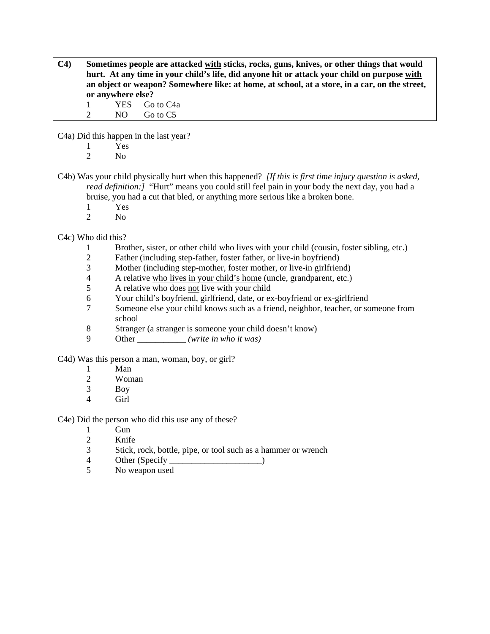**C4) Sometimes people are attacked with sticks, rocks, guns, knives, or other things that would hurt. At any time in your child's life, did anyone hit or attack your child on purpose with an object or weapon? Somewhere like: at home, at school, at a store, in a car, on the street, or anywhere else?** 

1 YES Go to C4a 2 NO Go to C5

C4a) Did this happen in the last year?

- $\frac{1}{2}$  Yes
	- $N<sub>0</sub>$
- C4b) Was your child physically hurt when this happened? *[If this is first time injury question is asked, read definition:]* "Hurt" means you could still feel pain in your body the next day, you had a bruise, you had a cut that bled, or anything more serious like a broken bone.
	- 1 Yes
	- 2 No

C4c) Who did this?

- 1 Brother, sister, or other child who lives with your child (cousin, foster sibling, etc.)
- 2 Father (including step-father, foster father, or live-in boyfriend)
- 3 Mother (including step-mother, foster mother, or live-in girlfriend)
- 4 A relative who lives in your child's home (uncle, grandparent, etc.)
- 5 A relative who does not live with your child
- 6 Your child's boyfriend, girlfriend, date, or ex-boyfriend or ex-girlfriend
- 7 Someone else your child knows such as a friend, neighbor, teacher, or someone from school
- 8 Stranger (a stranger is someone your child doesn't know)
- 9 Other \_\_\_\_\_\_\_\_\_\_\_ *(write in who it was)*

C4d) Was this person a man, woman, boy, or girl?

- 1 Man
- 2 Woman
- 3 Boy
- 4 Girl

C4e) Did the person who did this use any of these?

- 1 Gun
- 2 Knife<br>3 Stick,
- Stick, rock, bottle, pipe, or tool such as a hammer or wrench
- 4 Other (Specify  $\qquad \qquad$ )
- 5 No weapon used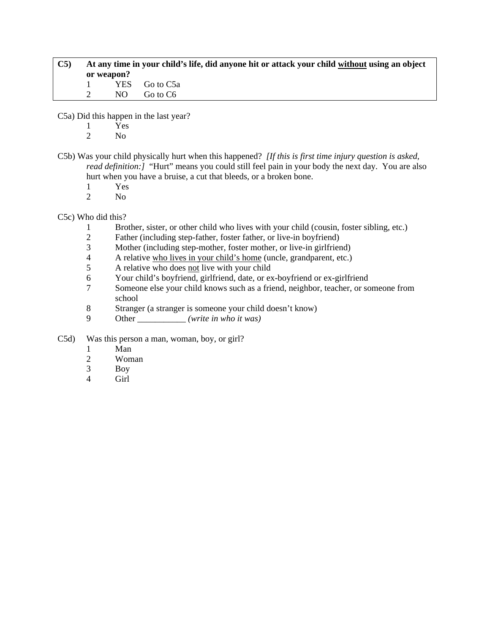| $\mathbf{C5}$ | At any time in your child's life, did anyone hit or attack your child without using an object |            |               |  |  |  |
|---------------|-----------------------------------------------------------------------------------------------|------------|---------------|--|--|--|
|               |                                                                                               | or weapon? |               |  |  |  |
|               |                                                                                               |            | YES Go to C5a |  |  |  |
|               |                                                                                               | NO.        | Go to C6      |  |  |  |

C5a) Did this happen in the last year?

- 1 Yes
- 2 No
- C5b) Was your child physically hurt when this happened? *[If this is first time injury question is asked, read definition:]* "Hurt" means you could still feel pain in your body the next day. You are also hurt when you have a bruise, a cut that bleeds, or a broken bone.
	- 1 Yes
	- 2 No

C5c) Who did this?

- 1 Brother, sister, or other child who lives with your child (cousin, foster sibling, etc.)
- 2 Father (including step-father, foster father, or live-in boyfriend)<br>3 Mother (including step-mother, foster mother, or live-in girlfrien
- 3 Mother (including step-mother, foster mother, or live-in girlfriend)
- 4 A relative who lives in your child's home (uncle, grandparent, etc.)
- 5 A relative who does not live with your child
- 6 Your child's boyfriend, girlfriend, date, or ex-boyfriend or ex-girlfriend
- 7 Someone else your child knows such as a friend, neighbor, teacher, or someone from school
- 8 Stranger (a stranger is someone your child doesn't know)<br>9 Other (write in who it was)
- Other *(write in who it was)*
- C5d) Was this person a man, woman, boy, or girl?
	- 1 Man
	- 2 Woman
	- 3 Boy
	- 4 Girl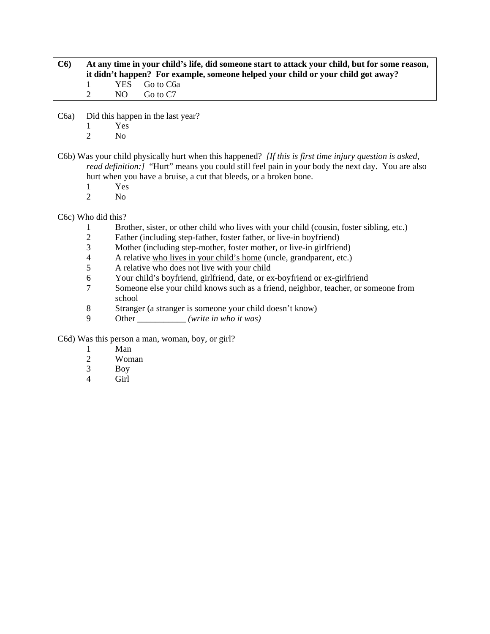| C <sub>6</sub> | At any time in your child's life, did someone start to attack your child, but for some reason,<br>it didn't happen? For example, someone helped your child or your child got away? |     |               |  |  |  |
|----------------|------------------------------------------------------------------------------------------------------------------------------------------------------------------------------------|-----|---------------|--|--|--|
|                |                                                                                                                                                                                    |     | YES Go to C6a |  |  |  |
|                |                                                                                                                                                                                    | NO. | Go to C7      |  |  |  |

- C6a) Did this happen in the last year?
	- 1 Yes
	- 2 No
- C6b) Was your child physically hurt when this happened? *[If this is first time injury question is asked, read definition:]* "Hurt" means you could still feel pain in your body the next day. You are also hurt when you have a bruise, a cut that bleeds, or a broken bone.
	- 1 Yes
	- 2 No

C6c) Who did this?

- 1 Brother, sister, or other child who lives with your child (cousin, foster sibling, etc.)
- 2 Father (including step-father, foster father, or live-in boyfriend)<br>3 Mother (including step-mother, foster mother, or live-in girlfrien
- 3 Mother (including step-mother, foster mother, or live-in girlfriend)
- 4 A relative who lives in your child's home (uncle, grandparent, etc.)
- 5 A relative who does not live with your child
- 6 Your child's boyfriend, girlfriend, date, or ex-boyfriend or ex-girlfriend
- 7 Someone else your child knows such as a friend, neighbor, teacher, or someone from school
- 8 Stranger (a stranger is someone your child doesn't know)<br>9 Other (write in who it was)
- Other *(write in who it was)*

C6d) Was this person a man, woman, boy, or girl?

- 1 Man
- 2 Woman
- 3 Boy
- 4 Girl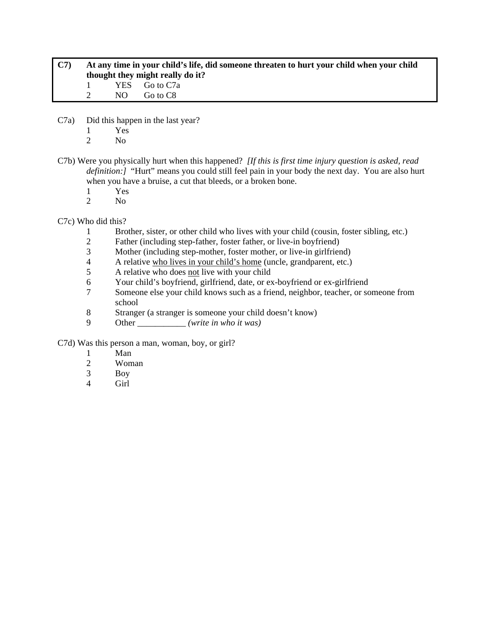| C7 | At any time in your child's life, did someone threaten to hurt your child when your child<br>thought they might really do it? |      |                           |  |  |
|----|-------------------------------------------------------------------------------------------------------------------------------|------|---------------------------|--|--|
|    |                                                                                                                               | NO - | YES Go to C7a<br>Go to C8 |  |  |

- C7a) Did this happen in the last year?
	- 1 Yes
	- 2 No
- C7b) Were you physically hurt when this happened? *[If this is first time injury question is asked, read definition:* [ "Hurt" means you could still feel pain in your body the next day. You are also hurt when you have a bruise, a cut that bleeds, or a broken bone.
	- 1 Yes
	- 2 No

C7c) Who did this?

- 1 Brother, sister, or other child who lives with your child (cousin, foster sibling, etc.)
- 2 Father (including step-father, foster father, or live-in boyfriend)<br>3 Mother (including step-mother, foster mother, or live-in girlfrien
- 3 Mother (including step-mother, foster mother, or live-in girlfriend)<br>4 A relative who lives in your child's home (uncle, grandparent, etc.)
- 4 A relative who lives in your child's home (uncle, grandparent, etc.)
- 5 A relative who does not live with your child
- 6 Your child's boyfriend, girlfriend, date, or ex-boyfriend or ex-girlfriend
- 7 Someone else your child knows such as a friend, neighbor, teacher, or someone from school
- 8 Stranger (a stranger is someone your child doesn't know)<br>9 Other (write in who it was)
- Other *(write in who it was)*
- C7d) Was this person a man, woman, boy, or girl?
	- 1 Man
	- 2 Woman
	- 3 Boy
	- 4 Girl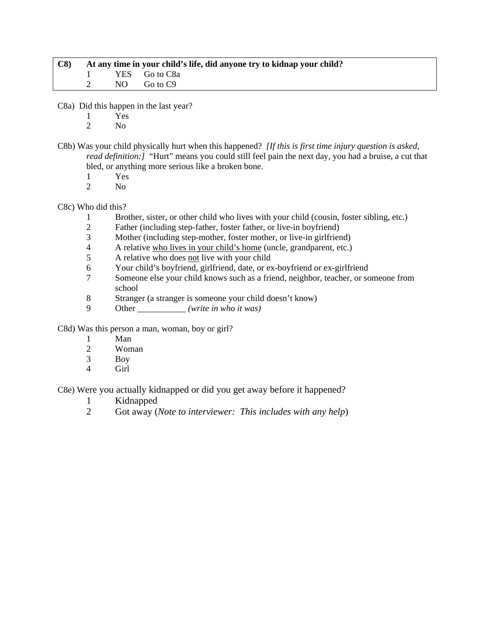| <b>C8</b> ) | At any time in your child's life, did anyone try to kidnap your child? |  |                 |  |  |  |
|-------------|------------------------------------------------------------------------|--|-----------------|--|--|--|
|             |                                                                        |  | 1 YES Go to C8a |  |  |  |
|             |                                                                        |  | NO GotoC9       |  |  |  |

C8a)Did this happen in the last year?

- 1 Yes
- 2 No
- C8b) Was your child physically hurt when this happened? *[If this is first time injury question is asked, read definition:]* "Hurt" means you could still feel pain the next day, you had a bruise, a cut that bled, or anything more serious like a broken bone.
	- 1 Yes
	- 2 No

### C8c) Who did this?

- 1 Brother, sister, or other child who lives with your child (cousin, foster sibling, etc.)
- 2 Father (including step-father, foster father, or live-in boyfriend)
- 3 Mother (including step-mother, foster mother, or live-in girlfriend)<br>4 A relative who lives in your child's home (uncle, grandparent, etc.)
- 4 A relative who lives in your child's home (uncle, grandparent, etc.)
- 5 A relative who does not live with your child
- 6 Your child's boyfriend, girlfriend, date, or ex-boyfriend or ex-girlfriend
- 7 Someone else your child knows such as a friend, neighbor, teacher, or someone from school
- 8 Stranger (a stranger is someone your child doesn't know)
- 9 Other \_\_\_\_\_\_\_\_\_\_\_ *(write in who it was)*
- C8d) Was this person a man, woman, boy or girl?
	- 1 Man<br>2 Wom
	- Woman
	- 3 Boy
	- 4 Girl

C8e) Were you actually kidnapped or did you get away before it happened?

- 1 Kidnapped
- 2 Got away (*Note to interviewer: This includes with any help*)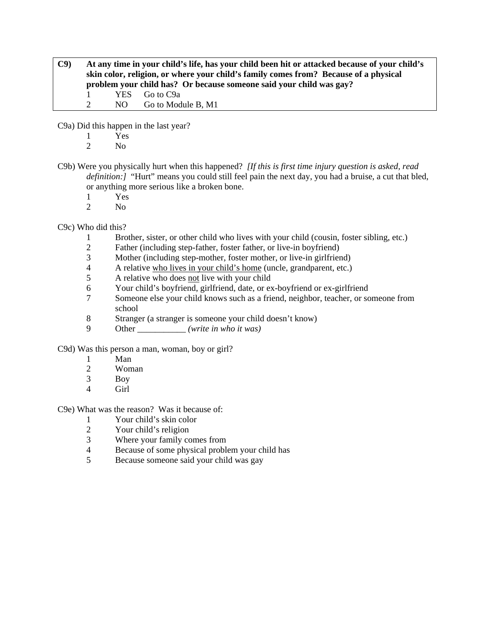**C9) At any time in your child's life, has your child been hit or attacked because of your child's skin color, religion, or where your child's family comes from? Because of a physical problem your child has? Or because someone said your child was gay?**  1 YES Go to C9a 2 NO Go to Module B, M1

C9a) Did this happen in the last year?

- $\frac{1}{2}$  Yes
- N<sub>o</sub>
- C9b) Were you physically hurt when this happened? *[If this is first time injury question is asked, read definition:* [ "Hurt" means you could still feel pain the next day, you had a bruise, a cut that bled, or anything more serious like a broken bone.
	- 1 Yes
	- 2 No

C9c) Who did this?

- 1 Brother, sister, or other child who lives with your child (cousin, foster sibling, etc.)<br>2 Father (including step-father, foster father, or live-in bovfriend)
- Father (including step-father, foster father, or live-in boyfriend)
- 3 Mother (including step-mother, foster mother, or live-in girlfriend)
- 4 A relative who lives in your child's home (uncle, grandparent, etc.)
- 5 A relative who does not live with your child
- 6 Your child's boyfriend, girlfriend, date, or ex-boyfriend or ex-girlfriend
- 7 Someone else your child knows such as a friend, neighbor, teacher, or someone from school
- 8 Stranger (a stranger is someone your child doesn't know)
- 9 Other \_\_\_\_\_\_\_\_\_\_\_ *(write in who it was)*

C9d) Was this person a man, woman, boy or girl?

- 1 Man
- 2 Woman
- 3 Boy
- 4 Girl

C9e) What was the reason? Was it because of:

- 1 Your child's skin color
- 2 Your child's religion
- 3 Where your family comes from
- 4 Because of some physical problem your child has
- 5 Because someone said your child was gay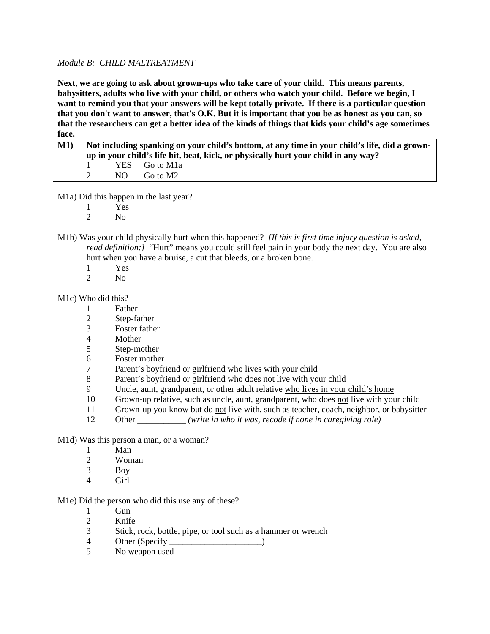### *Module B: CHILD MALTREATMENT*

**Next, we are going to ask about grown-ups who take care of your child. This means parents, babysitters, adults who live with your child, or others who watch your child. Before we begin, I want to remind you that your answers will be kept totally private. If there is a particular question that you don't want to answer, that's O.K. But it is important that you be as honest as you can, so that the researchers can get a better idea of the kinds of things that kids your child's age sometimes face.** 

# **M1) Not including spanking on your child's bottom, at any time in your child's life, did a grownup in your child's life hit, beat, kick, or physically hurt your child in any way?**  1 YES Go to M1a 2 NO Go to M2

M1a) Did this happen in the last year?

- $\frac{1}{2}$  Yes
- N<sub>o</sub>
- M1b) Was your child physically hurt when this happened? *[If this is first time injury question is asked, read definition:]* "Hurt" means you could still feel pain in your body the next day. You are also hurt when you have a bruise, a cut that bleeds, or a broken bone.
	- 1 Yes
	- 2 No

#### M1c) Who did this?

- 1 Father
- 2 Step-father
- 3 Foster father
- 4 Mother
- 5 Step-mother
- 6 Foster mother
- 7 Parent's boyfriend or girlfriend who lives with your child
- 8 Parent's boyfriend or girlfriend who does not live with your child
- 9 Uncle, aunt, grandparent, or other adult relative who lives in your child's home
- 10 Grown-up relative, such as uncle, aunt, grandparent, who does not live with your child
- 11 Grown-up you know but do not live with, such as teacher, coach, neighbor, or babysitter
- 12 Other *(write in who it was, recode if none in caregiving role)*

### M1d) Was this person a man, or a woman?

- 1 Man
- 2 Woman
- 3 Boy
- 4 Girl

#### M1e) Did the person who did this use any of these?

- 1 Gun
- 2 Knife
- 3 Stick, rock, bottle, pipe, or tool such as a hammer or wrench
- 4 Other (Specify )
- 5 No weapon used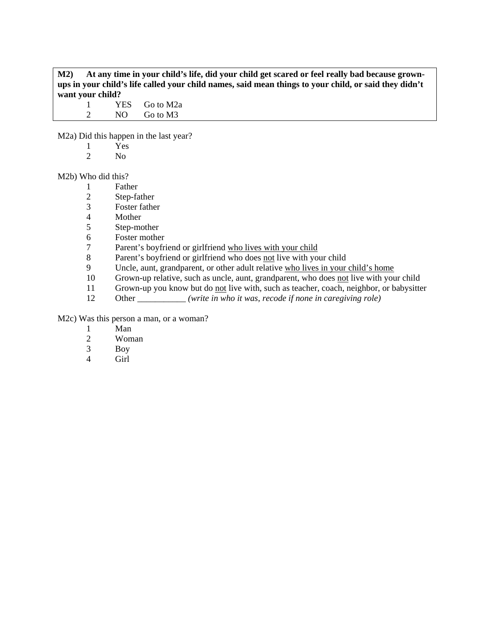**M2) At any time in your child's life, did your child get scared or feel really bad because grownups in your child's life called your child names, said mean things to your child, or said they didn't want your child?**

|    | YES Go to M2a |
|----|---------------|
| NО | Go to M3      |

M2a) Did this happen in the last year?

- $\frac{1}{2}$  Yes
	- N<sub>o</sub>

M2b) Who did this?

- 1 Father
- 2 Step-father
- 3 Foster father
- **Mother**
- 5 Step-mother
- 6 Foster mother<br>7 Parent's boyfri
- Parent's boyfriend or girlfriend who lives with your child
- 8 Parent's boyfriend or girlfriend who does not live with your child
- 9 Uncle, aunt, grandparent, or other adult relative who lives in your child's home
- 10 Grown-up relative, such as uncle, aunt, grandparent, who does not live with your child
- 11 Grown-up you know but do not live with, such as teacher, coach, neighbor, or babysitter
- 12 Other \_\_\_\_\_\_\_\_\_\_\_ *(write in who it was, recode if none in caregiving role)*

M2c) Was this person a man, or a woman?

- 1 Man
- 2 Woman
- 3 Boy
- 4 Girl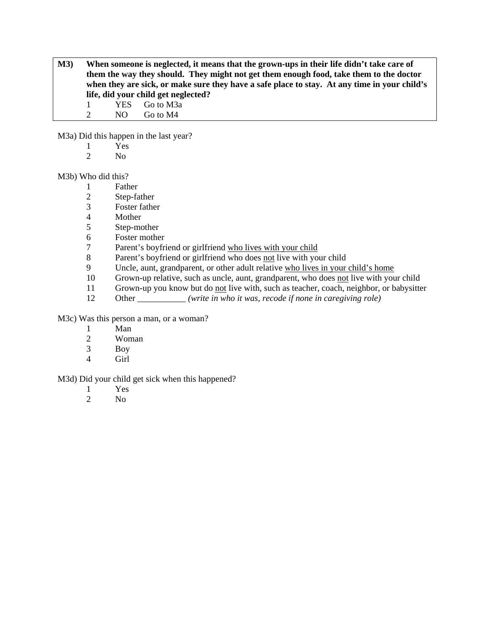**M3) When someone is neglected, it means that the grown-ups in their life didn't take care of them the way they should. They might not get them enough food, take them to the doctor when they are sick, or make sure they have a safe place to stay. At any time in your child's life, did your child get neglected?** 

1 YES Go to M3a 2 NO Go to M4

M3a) Did this happen in the last year?

- $\frac{1}{2}$  Yes
	- N<sub>o</sub>

M3b) Who did this?

- 1 Father
- 2 Step-father
- 3 Foster father
- 4 Mother
- 5 Step-mother
- 6 Foster mother
- 7 Parent's boyfriend or girlfriend who lives with your child
- 8 Parent's boyfriend or girlfriend who does not live with your child
- 9 Uncle, aunt, grandparent, or other adult relative who lives in your child's home
- 10 Grown-up relative, such as uncle, aunt, grandparent, who does not live with your child
- 11 Grown-up you know but do not live with, such as teacher, coach, neighbor, or babysitter
- 12 Other \_\_\_\_\_\_\_\_\_\_\_ *(write in who it was, recode if none in caregiving role)*

M3c) Was this person a man, or a woman?

- 1 Man
- 2 Woman
- 3 Boy
- 4 Girl

M3d) Did your child get sick when this happened?

- 1 Yes<br>2 No
- N<sub>o</sub>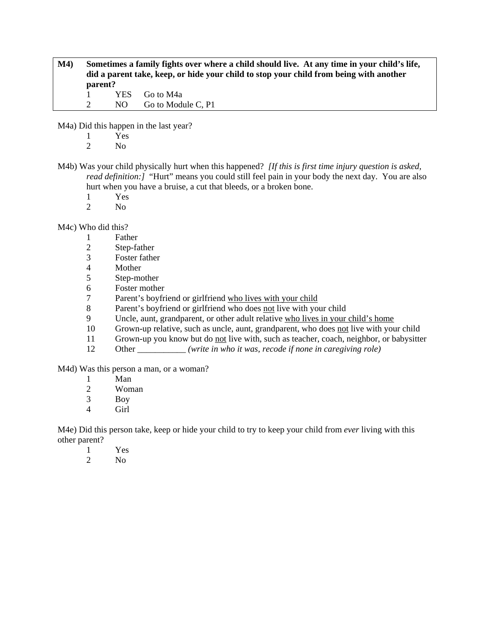**M4) Sometimes a family fights over where a child should live. At any time in your child's life, did a parent take, keep, or hide your child to stop your child from being with another parent?**  1 YES Go to M4a

2 NO Go to Module C, P1

M4a) Did this happen in the last year?

- $\frac{1}{2}$  Yes
	- N<sub>o</sub>

M4b) Was your child physically hurt when this happened? *[If this is first time injury question is asked, read definition:]* "Hurt" means you could still feel pain in your body the next day. You are also hurt when you have a bruise, a cut that bleeds, or a broken bone.

- 1 Yes
- 2 No

M4c) Who did this?

- 1 Father<br>2 Step-fa
- Step-father
- 3 Foster father
- 4 Mother
- 5 Step-mother
- 6 Foster mother
- 7 Parent's boyfriend or girlfriend who lives with your child
- 8 Parent's boyfriend or girlfriend who does <u>not</u> live with your child<br>9 Uncle, aunt, grandparent, or other adult relative who lives in your
- Uncle, aunt, grandparent, or other adult relative who lives in your child's home
- 10 Grown-up relative, such as uncle, aunt, grandparent, who does not live with your child
- 11 Grown-up you know but do not live with, such as teacher, coach, neighbor, or babysitter
- 12 Other *(write in who it was, recode if none in caregiving role)*

M4d) Was this person a man, or a woman?

- 1 Man<br>2 Wom
- Woman
- 3 Boy
- 4 Girl

M4e) Did this person take, keep or hide your child to try to keep your child from *ever* living with this other parent?

- $\frac{1}{2}$  Yes
- N<sub>o</sub>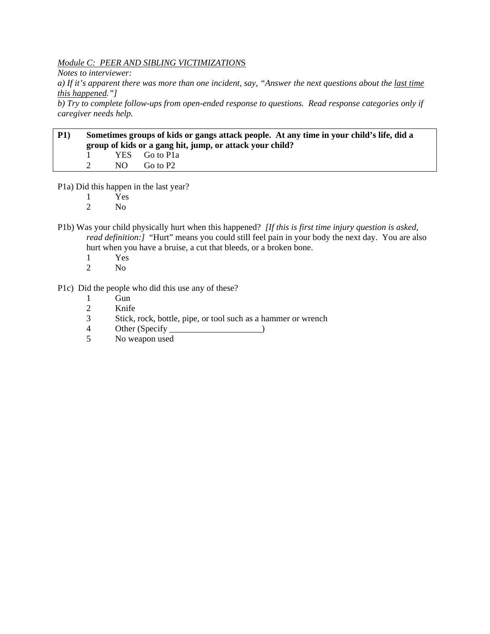### *Module C: PEER AND SIBLING VICTIMIZATION*S

*Notes to interviewer:* 

*a) If it's apparent there was more than one incident, say, "Answer the next questions about the last time this happened."]* 

*b) Try to complete follow-ups from open-ended response to questions. Read response categories only if caregiver needs help.* 

### **P1) Sometimes groups of kids or gangs attack people. At any time in your child's life, did a group of kids or a gang hit, jump, or attack your child?**  1 YES Go to P1a 2 NO Go to P2

P1a) Did this happen in the last year?

- 1 Yes
- 2 No
- P1b) Was your child physically hurt when this happened? *[If this is first time injury question is asked, read definition:]* "Hurt" means you could still feel pain in your body the next day. You are also hurt when you have a bruise, a cut that bleeds, or a broken bone.
	- 1 Yes
	- 2 No
- P1c) Did the people who did this use any of these?
	- 1 Gun
	- 2 Knife<br>3 Stick.
	- Stick, rock, bottle, pipe, or tool such as a hammer or wrench
	- 4 Other (Specify \_\_\_\_\_\_\_\_\_\_\_\_\_\_\_\_\_\_\_\_\_\_)
	- 5 No weapon used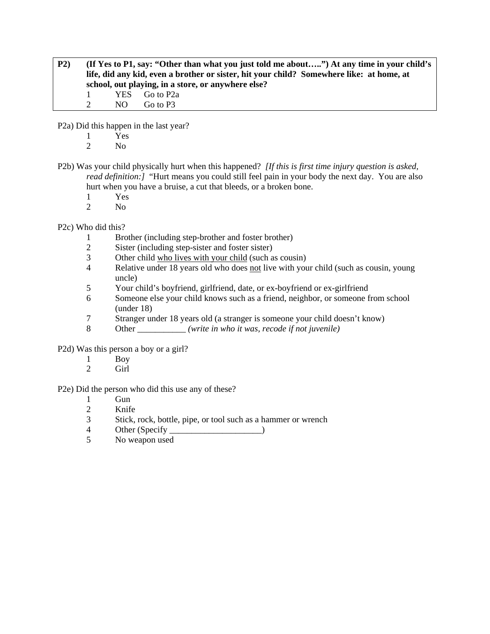**P2) (If Yes to P1, say: "Other than what you just told me about…..") At any time in your child's life, did any kid, even a brother or sister, hit your child? Somewhere like: at home, at school, out playing, in a store, or anywhere else?**  1 YES Go to P2a 2 NO Go to P3

P2a) Did this happen in the last year?

- $\frac{1}{2}$  Yes
- N<sub>o</sub>
- P2b) Was your child physically hurt when this happened? *[If this is first time injury question is asked, read definition:* [ "Hurt means you could still feel pain in your body the next day. You are also hurt when you have a bruise, a cut that bleeds, or a broken bone.
	- 1 Yes
	- 2 No

P2c) Who did this?

- 1 Brother (including step-brother and foster brother)<br>2 Sister (including step-sister and foster sister)
- Sister (including step-sister and foster sister)
- 3 Other child who lives with your child (such as cousin)
- 4 Relative under 18 years old who does not live with your child (such as cousin, young uncle)
- 5 Your child's boyfriend, girlfriend, date, or ex-boyfriend or ex-girlfriend
- 6 Someone else your child knows such as a friend, neighbor, or someone from school (under 18)
- 7 Stranger under 18 years old (a stranger is someone your child doesn't know)
- 8 Other *(write in who it was, recode if not juvenile)*

P2d) Was this person a boy or a girl?

- 1 Boy
- 2 Girl

P2e) Did the person who did this use any of these?

- 1 Gun
- 2 Knife
- 3 Stick, rock, bottle, pipe, or tool such as a hammer or wrench
- 4 Other (Specify \_\_\_\_\_\_\_\_\_\_\_\_\_\_\_\_\_\_\_\_\_)
- 5 No weapon used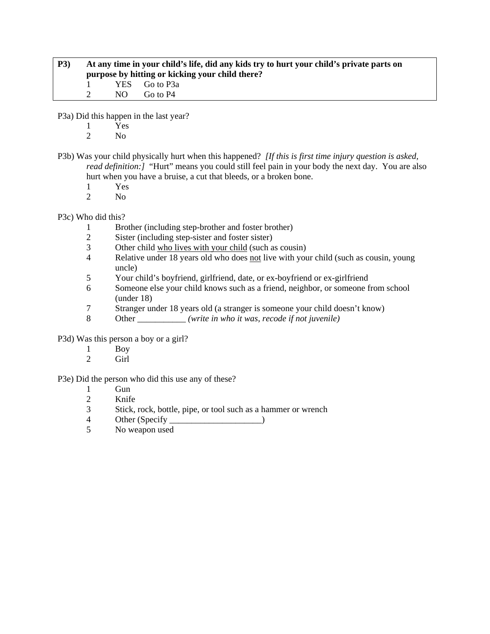# **P3) At any time in your child's life, did any kids try to hurt your child's private parts on purpose by hitting or kicking your child there?**  1 YES Go to P3a 2 NO Go to P4

P3a) Did this happen in the last year?

- 1 Yes
- 2 No
- P3b) Was your child physically hurt when this happened? *[If this is first time injury question is asked, read definition:]* "Hurt" means you could still feel pain in your body the next day. You are also hurt when you have a bruise, a cut that bleeds, or a broken bone.
	- 1 Yes
	- 2 No

P3c) Who did this?

- 1 Brother (including step-brother and foster brother)
- 2 Sister (including step-sister and foster sister)<br>3 Other child who lives with your child (such a
- Other child who lives with your child (such as cousin)
- 4 Relative under 18 years old who does not live with your child (such as cousin, young uncle)
- 5 Your child's boyfriend, girlfriend, date, or ex-boyfriend or ex-girlfriend
- 6 Someone else your child knows such as a friend, neighbor, or someone from school (under 18)
- 7 Stranger under 18 years old (a stranger is someone your child doesn't know)
- 8 Other *(write in who it was, recode if not juvenile)*

P3d) Was this person a boy or a girl?

- 1 Boy
- 2 Girl

### P3e) Did the person who did this use any of these?

- 1 Gun<br>2 Knife
- 2 Knife
- 3 Stick, rock, bottle, pipe, or tool such as a hammer or wrench
- 4 Other (Specify )
- 5 No weapon used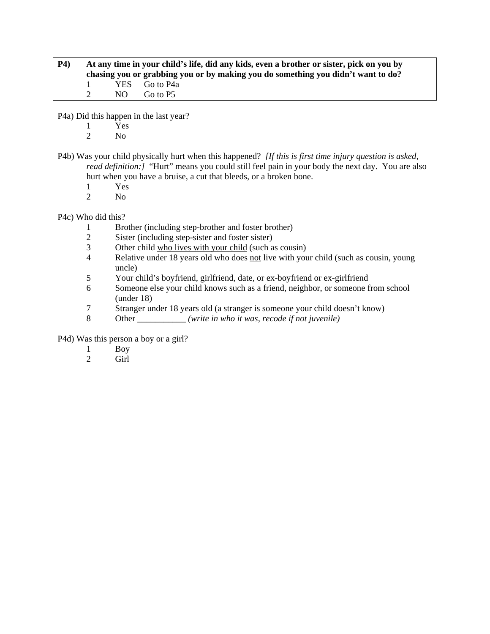| <b>P4</b> ) | At any time in your child's life, did any kids, even a brother or sister, pick on you by |  |                                                                                  |  |  |  |
|-------------|------------------------------------------------------------------------------------------|--|----------------------------------------------------------------------------------|--|--|--|
|             |                                                                                          |  | chasing you or grabbing you or by making you do something you didn't want to do? |  |  |  |
|             | <b>Contract Contract Contract</b>                                                        |  | YES Go to P4a                                                                    |  |  |  |
|             | $\mathcal{D}$                                                                            |  | NO Go to P5                                                                      |  |  |  |

P4a) Did this happen in the last year?

- 1 Yes
- 2 No
- P4b) Was your child physically hurt when this happened? *[If this is first time injury question is asked, read definition:]* "Hurt" means you could still feel pain in your body the next day. You are also hurt when you have a bruise, a cut that bleeds, or a broken bone.
	- 1 Yes
	- 2 No

P4c) Who did this?

- 1 Brother (including step-brother and foster brother)<br>
2 Sister (including step-sister and foster sister)
- 2 Sister (including step-sister and foster sister)<br>3 Other child who lives with your child (such a
- Other child who lives with your child (such as cousin)
- 4 Relative under 18 years old who does not live with your child (such as cousin, young uncle)
- 5 Your child's boyfriend, girlfriend, date, or ex-boyfriend or ex-girlfriend
- 6 Someone else your child knows such as a friend, neighbor, or someone from school (under 18)
- 7 Stranger under 18 years old (a stranger is someone your child doesn't know)<br>8 Other *(write in who it was, recode if not iuvenile)*
- Other *(write in who it was, recode if not juvenile)*

P4d) Was this person a boy or a girl?

- 1 Boy
- 2 Girl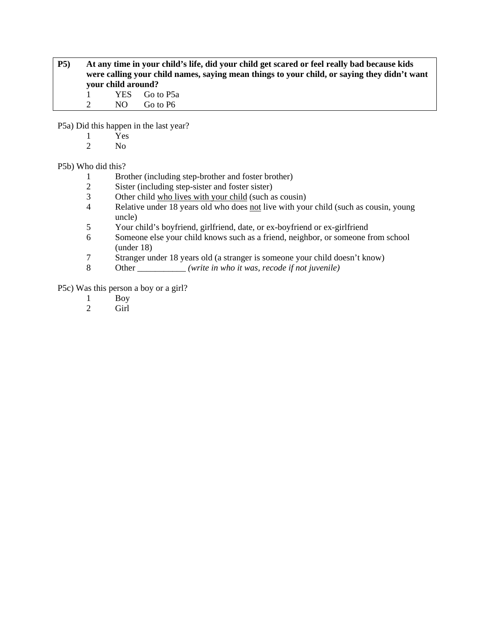**P5) At any time in your child's life, did your child get scared or feel really bad because kids were calling your child names, saying mean things to your child, or saying they didn't want your child around?**  1 YES Go to P5a

2 NO Go to P6

P5a) Did this happen in the last year?

- $\frac{1}{2}$  Yes
- N<sub>o</sub>

#### P5b) Who did this?

- 1 Brother (including step-brother and foster brother)
- 2 Sister (including step-sister and foster sister)
- 3 Other child who lives with your child (such as cousin)
- 4 Relative under 18 years old who does not live with your child (such as cousin, young uncle)
- 5 Your child's boyfriend, girlfriend, date, or ex-boyfriend or ex-girlfriend
- 6 Someone else your child knows such as a friend, neighbor, or someone from school (under 18)
- 7 Stranger under 18 years old (a stranger is someone your child doesn't know)
- 8 Other \_\_\_\_\_\_\_\_\_\_\_ *(write in who it was, recode if not juvenile)*

P5c) Was this person a boy or a girl?

- 1 Boy<br>2 Girl
	- Girl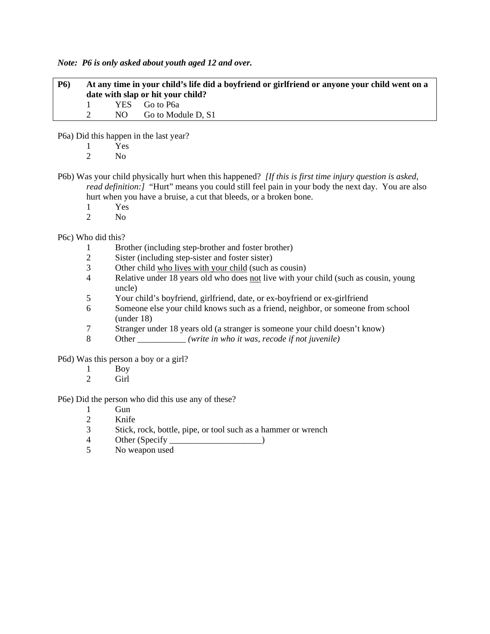*Note: P6 is only asked about youth aged 12 and over.* 

| <b>P6</b> ) | At any time in your child's life did a boyfriend or girlfriend or anyone your child went on a<br>date with slap or hit your child? |  |                       |  |
|-------------|------------------------------------------------------------------------------------------------------------------------------------|--|-----------------------|--|
|             | $\mathbf{1}$                                                                                                                       |  | YES Go to P6a         |  |
|             |                                                                                                                                    |  | NO Go to Module D, S1 |  |

P6a) Did this happen in the last year?

- $\frac{1}{2}$  Yes
	- $N<sub>0</sub>$
- P6b) Was your child physically hurt when this happened? *[If this is first time injury question is asked, read definition:]* "Hurt" means you could still feel pain in your body the next day. You are also hurt when you have a bruise, a cut that bleeds, or a broken bone.
	- $\frac{1}{2}$  Yes
	- N<sub>o</sub>

P6c) Who did this?

- 1 Brother (including step-brother and foster brother)
- 2 Sister (including step-sister and foster sister)
- 3 Other child who lives with your child (such as cousin)
- 4 Relative under 18 years old who does not live with your child (such as cousin, young uncle)
- 5 Your child's boyfriend, girlfriend, date, or ex-boyfriend or ex-girlfriend
- 6 Someone else your child knows such as a friend, neighbor, or someone from school (under 18)
- 7 Stranger under 18 years old (a stranger is someone your child doesn't know)
- 8 Other \_\_\_\_\_\_\_\_\_\_\_ *(write in who it was, recode if not juvenile)*

P6d) Was this person a boy or a girl?

- 1 Boy<br>2 Girl
- Girl

P6e) Did the person who did this use any of these?

- 1 Gun
- 2 Knife
- 3 Stick, rock, bottle, pipe, or tool such as a hammer or wrench
- 4 Other (Specify \_\_\_\_\_\_\_\_\_\_\_\_\_\_\_\_\_\_\_\_\_)
- No weapon used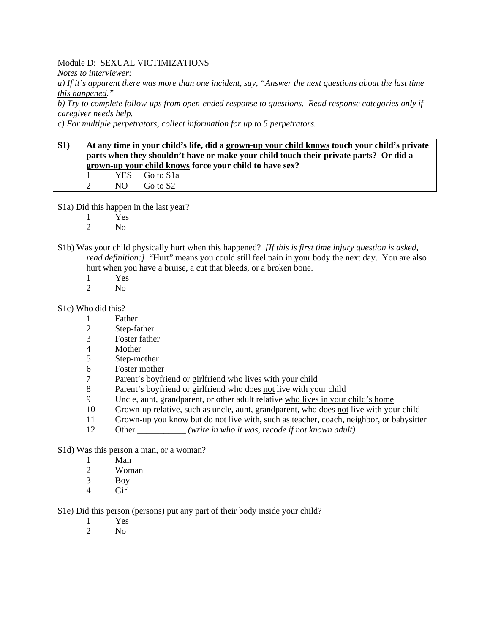### Module D: SEXUAL VICTIMIZATIONS

*Notes to interviewer:* 

*a) If it's apparent there was more than one incident, say, "Answer the next questions about the last time this happened."* 

*b) Try to complete follow-ups from open-ended response to questions. Read response categories only if caregiver needs help.* 

*c) For multiple perpetrators, collect information for up to 5 perpetrators.* 

### **S1) At any time in your child's life, did a grown-up your child knows touch your child's private parts when they shouldn't have or make your child touch their private parts? Or did a grown-up your child knows force your child to have sex?**  1 YES Go to S1a 2 NO Go to S2

S1a) Did this happen in the last year?

- 1 Yes
- 2 No
- S1b) Was your child physically hurt when this happened? *[If this is first time injury question is asked, read definition:]* "Hurt" means you could still feel pain in your body the next day. You are also hurt when you have a bruise, a cut that bleeds, or a broken bone.
	- 1 Yes
	- 2 No

#### S1c) Who did this?

- 1 Father
- 2 Step-father
- 3 Foster father
- 4 Mother
- 5 Step-mother
- 6 Foster mother
- 7 Parent's boyfriend or girlfriend who lives with your child
- 8 Parent's boyfriend or girlfriend who does not live with your child
- 9 Uncle, aunt, grandparent, or other adult relative who lives in your child's home
- 10 Grown-up relative, such as uncle, aunt, grandparent, who does not live with your child
- 11 Grown-up you know but do not live with, such as teacher, coach, neighbor, or babysitter
- 12 Other \_\_\_\_\_\_\_\_\_\_\_ *(write in who it was, recode if not known adult)*

#### S1d) Was this person a man, or a woman?

- 1 Man
- 2 Woman
- 3 Boy
- 4 Girl

S1e) Did this person (persons) put any part of their body inside your child?

- $\frac{1}{2}$  Yes
- $N<sub>0</sub>$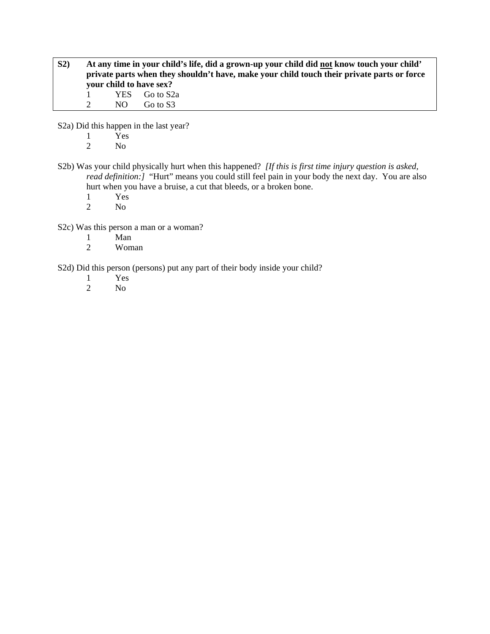**S2) At any time in your child's life, did a grown-up your child did not know touch your child' private parts when they shouldn't have, make your child touch their private parts or force your child to have sex?**  1 YES Go to S2a 2 NO Go to S3

S2a) Did this happen in the last year?

- $\frac{1}{2}$  Yes
	- N<sub>o</sub>
- S2b) Was your child physically hurt when this happened? *[If this is first time injury question is asked, read definition:]* "Hurt" means you could still feel pain in your body the next day. You are also hurt when you have a bruise, a cut that bleeds, or a broken bone.
	- 1 Yes
	- 2 No

S2c) Was this person a man or a woman?

- 1 Man<br>2 Wom
- Woman

S2d) Did this person (persons) put any part of their body inside your child?

- 1 Yes
- 2 No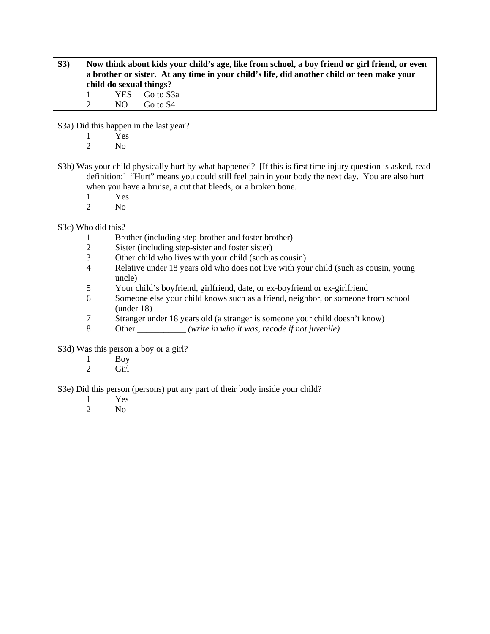**S3) Now think about kids your child's age, like from school, a boy friend or girl friend, or even a brother or sister. At any time in your child's life, did another child or teen make your child do sexual things?**  1 YES Go to S3a

2 NO Go to S4

S3a) Did this happen in the last year?

- $\frac{1}{2}$  Yes
	- N<sub>o</sub>
- S3b) Was your child physically hurt by what happened? [If this is first time injury question is asked, read definition:] "Hurt" means you could still feel pain in your body the next day. You are also hurt when you have a bruise, a cut that bleeds, or a broken bone.
	- 1 Yes
	- 2 No

S3c) Who did this?

- 1 Brother (including step-brother and foster brother)<br>2 Sister (including step-sister and foster sister)
- Sister (including step-sister and foster sister)
- 3 Other child who lives with your child (such as cousin)
- 4 Relative under 18 years old who does not live with your child (such as cousin, young uncle)
- 5 Your child's boyfriend, girlfriend, date, or ex-boyfriend or ex-girlfriend
- 6 Someone else your child knows such as a friend, neighbor, or someone from school (under 18)
- 7 Stranger under 18 years old (a stranger is someone your child doesn't know)
- 8 Other \_\_\_\_\_\_\_\_\_\_\_ *(write in who it was, recode if not juvenile)*

S3d) Was this person a boy or a girl?

- 1 Boy
- 2 Girl

S3e) Did this person (persons) put any part of their body inside your child?

- 1 Yes
- 2 No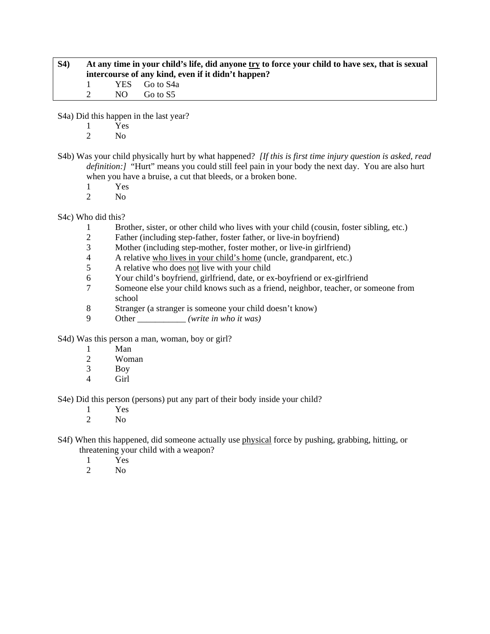| <b>S4</b> ) | At any time in your child's life, did anyone try to force your child to have sex, that is sexual<br>intercourse of any kind, even if it didn't happen? |     |               |  |  |
|-------------|--------------------------------------------------------------------------------------------------------------------------------------------------------|-----|---------------|--|--|
|             |                                                                                                                                                        |     | YES Go to S4a |  |  |
|             |                                                                                                                                                        | NO. | Go to S5      |  |  |

S4a) Did this happen in the last year?

- 1 Yes
- 2 No
- S4b) Was your child physically hurt by what happened? *[If this is first time injury question is asked, read definition:]* "Hurt" means you could still feel pain in your body the next day. You are also hurt when you have a bruise, a cut that bleeds, or a broken bone.
	- 1 Yes
	- 2 No

S4c) Who did this?

- 1 Brother, sister, or other child who lives with your child (cousin, foster sibling, etc.)
- 2 Father (including step-father, foster father, or live-in boyfriend)<br>3 Mother (including step-mother, foster mother, or live-in girlfrien
- 3 Mother (including step-mother, foster mother, or live-in girlfriend)
- 4 A relative who lives in your child's home (uncle, grandparent, etc.)
- 5 A relative who does not live with your child
- 6 Your child's boyfriend, girlfriend, date, or ex-boyfriend or ex-girlfriend
- 7 Someone else your child knows such as a friend, neighbor, teacher, or someone from school
- 8 Stranger (a stranger is someone your child doesn't know)
- 9 Other \_\_\_\_\_\_\_\_\_\_\_ *(write in who it was)*

S4d) Was this person a man, woman, boy or girl?

- 1 Man
- 2 Woman
- 3 Boy
- 4 Girl

S4e) Did this person (persons) put any part of their body inside your child?

- 1 Yes
- 2 No
- S4f) When this happened, did someone actually use physical force by pushing, grabbing, hitting, or threatening your child with a weapon?
	- 1 Yes
	- 2 No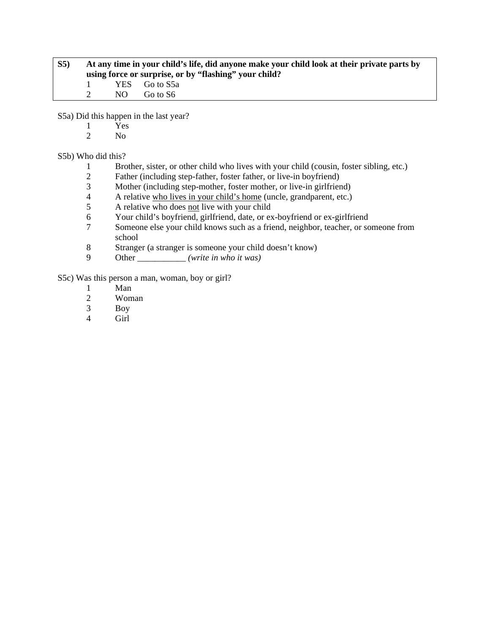# **S5) At any time in your child's life, did anyone make your child look at their private parts by using force or surprise, or by "flashing" your child?**<br>1 YES Go to S5a 1 YES Go to S5a<br>2 NO Go to S6 NO Go to S6

S5a) Did this happen in the last year?

- 1 Yes
- 2 No

### S5b) Who did this?

- 1 Brother, sister, or other child who lives with your child (cousin, foster sibling, etc.)<br>2 Father (including step-father, foster father, or live-in boyfriend)
- Father (including step-father, foster father, or live-in boyfriend)
- 3 Mother (including step-mother, foster mother, or live-in girlfriend)
- 4 A relative who lives in your child's home (uncle, grandparent, etc.)
- 5 A relative who does not live with your child
- 6 Your child's boyfriend, girlfriend, date, or ex-boyfriend or ex-girlfriend
- 7 Someone else your child knows such as a friend, neighbor, teacher, or someone from school
- 8 Stranger (a stranger is someone your child doesn't know)
- 9 Other \_\_\_\_\_\_\_\_\_\_\_ *(write in who it was)*

### S5c) Was this person a man, woman, boy or girl?

- 1 Man<br>2 Wom
- Woman
- 3 Boy
- Girl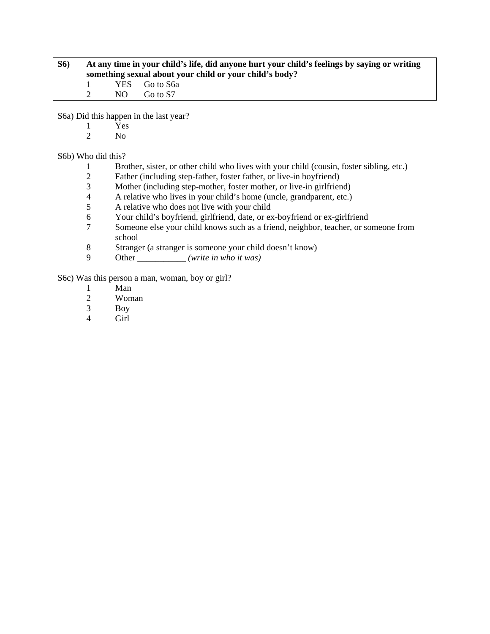# **S6) At any time in your child's life, did anyone hurt your child's feelings by saying or writing something sexual about your child or your child's body?**<br>1 YES Go to S6a 1 YES Go to S6a<br>2 NO Go to S7 NO Go to S7

S6a) Did this happen in the last year?

- 1 Yes
- 2 No

### S6b) Who did this?

- 1 Brother, sister, or other child who lives with your child (cousin, foster sibling, etc.)<br>2 Father (including step-father, foster father, or live-in boyfriend)
- Father (including step-father, foster father, or live-in boyfriend)
- 3 Mother (including step-mother, foster mother, or live-in girlfriend)
- 4 A relative who lives in your child's home (uncle, grandparent, etc.)
- 5 A relative who does not live with your child
- 6 Your child's boyfriend, girlfriend, date, or ex-boyfriend or ex-girlfriend
- 7 Someone else your child knows such as a friend, neighbor, teacher, or someone from school
- 8 Stranger (a stranger is someone your child doesn't know)
- 9 Other \_\_\_\_\_\_\_\_\_\_\_ *(write in who it was)*

S6c) Was this person a man, woman, boy or girl?

- 1 Man<br>2 Wom
- Woman
- 3 Boy
- Girl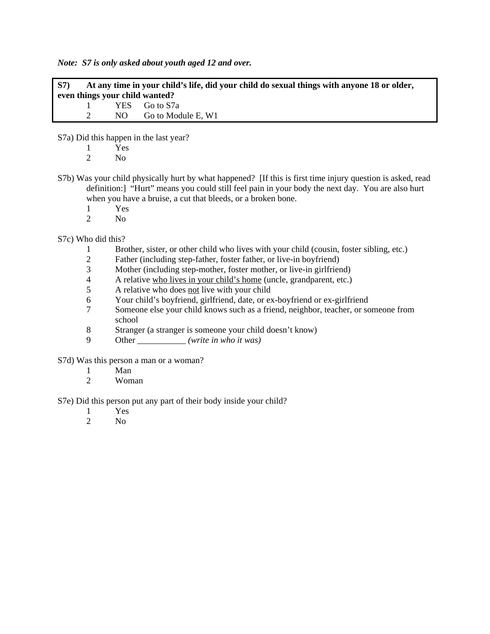*Note: S7 is only asked about youth aged 12 and over.* 

| <b>S7</b> )                    |  |  | At any time in your child's life, did your child do sexual things with anyone 18 or older, |  |  |
|--------------------------------|--|--|--------------------------------------------------------------------------------------------|--|--|
| even things your child wanted? |  |  |                                                                                            |  |  |
|                                |  |  | 1 YES Go to S7a                                                                            |  |  |
|                                |  |  | $NO$ Go to Module E. W1                                                                    |  |  |

S7a) Did this happen in the last year?

- 1 Yes
- 2 No
- S7b) Was your child physically hurt by what happened? [If this is first time injury question is asked, read definition:] "Hurt" means you could still feel pain in your body the next day. You are also hurt when you have a bruise, a cut that bleeds, or a broken bone.
	- 1 Yes
	- 2 No

S7c) Who did this?

- 1 Brother, sister, or other child who lives with your child (cousin, foster sibling, etc.)
- 2 Father (including step-father, foster father, or live-in boyfriend)
- 3 Mother (including step-mother, foster mother, or live-in girlfriend)
- 4 A relative who lives in your child's home (uncle, grandparent, etc.)<br>
A relative who does not live with your child
- 5 A relative who does not live with your child
- 6 Your child's boyfriend, girlfriend, date, or ex-boyfriend or ex-girlfriend
- 7 Someone else your child knows such as a friend, neighbor, teacher, or someone from school
- 8 Stranger (a stranger is someone your child doesn't know)
- 9 Other \_\_\_\_\_\_\_\_\_\_\_ *(write in who it was)*

S7d) Was this person a man or a woman?

- 1 Man<br>2 Wom
- Woman

S7e) Did this person put any part of their body inside your child?

- 1 Yes
- 2  $N<sub>0</sub>$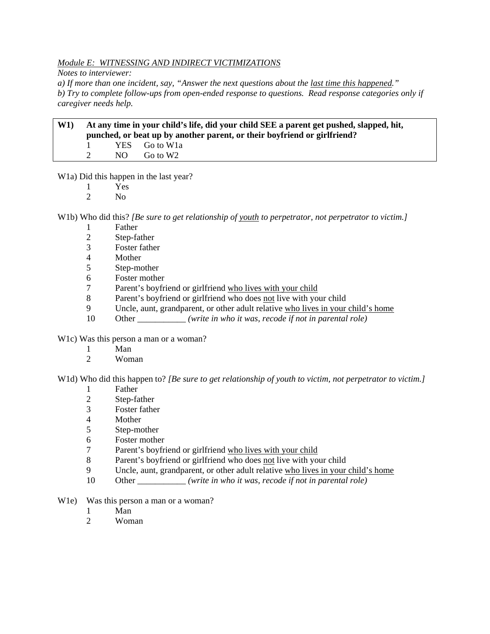### *Module E: WITNESSING AND INDIRECT VICTIMIZATIONS*

*Notes to interviewer:* 

*a) If more than one incident, say, "Answer the next questions about the last time this happened." b) Try to complete follow-ups from open-ended response to questions. Read response categories only if caregiver needs help.* 

### **W1) At any time in your child's life, did your child SEE a parent get pushed, slapped, hit, punched, or beat up by another parent, or their boyfriend or girlfriend?**  1 YES Go to W1a 2 NO Go to W<sub>2</sub>

W1a) Did this happen in the last year?

- 1 Yes
- 2 No

W1b) Who did this? *[Be sure to get relationship of youth to perpetrator, not perpetrator to victim.]*

- 1 Father
- 2 Step-father<br>3 Foster father
- Foster father
- 4 Mother
- 5 Step-mother
- 6 Foster mother
- 7 Parent's boyfriend or girlfriend who lives with your child
- 8 Parent's boyfriend or girlfriend who does not live with your child
- 9 Uncle, aunt, grandparent, or other adult relative who lives in your child's home
- 10 Other *(write in who it was, recode if not in parental role)*

W1c) Was this person a man or a woman?

- 1 Man
- 2 Woman

W1d) Who did this happen to? *[Be sure to get relationship of youth to victim, not perpetrator to victim.]*

- 1 Father<br>2 Step-fa
- Step-father
- 3 Foster father
- 4 Mother
- 5 Step-mother
- 6 Foster mother
- 7 Parent's boyfriend or girlfriend who lives with your child
- 8 Parent's boyfriend or girlfriend who does not live with your child
- 9 Uncle, aunt, grandparent, or other adult relative who lives in your child's home
- 10 Other *(write in who it was, recode if not in parental role)*
- W<sub>1</sub>e) Was this person a man or a woman?
	- 1 Man
	- 2 Woman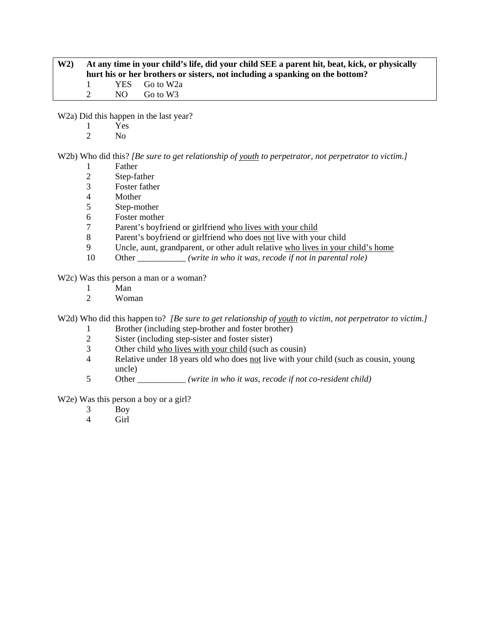| W2) |              |     | At any time in your child's life, did your child SEE a parent hit, beat, kick, or physically<br>hurt his or her brothers or sisters, not including a spanking on the bottom? |  |
|-----|--------------|-----|------------------------------------------------------------------------------------------------------------------------------------------------------------------------------|--|
|     | $\mathbf{1}$ |     | YES Go to W2a                                                                                                                                                                |  |
|     |              | NO. | Go to W3                                                                                                                                                                     |  |

W2a) Did this happen in the last year?

- 1 Yes
- 2 No

W2b) Who did this? *[Be sure to get relationship of youth to perpetrator, not perpetrator to victim.]*

- 1 Father<br>2 Step-fa
- Step-father
- 3 Foster father
- 4 Mother
- 5 Step-mother
- 6 Foster mother
- 7 Parent's boyfriend or girlfriend who lives with your child
- 8 Parent's boyfriend or girlfriend who does <u>not</u> live with your child<br>9 Uncle, aunt, grandparent, or other adult relative who lives in your
- Uncle, aunt, grandparent, or other adult relative who lives in your child's home
- 10 Other \_\_\_\_\_\_\_\_\_\_\_ *(write in who it was, recode if not in parental role)*

W<sub>2c</sub>) Was this person a man or a woman?

- 1 Man<br>2 Wom
- Woman

W2d) Who did this happen to? *[Be sure to get relationship of youth to victim, not perpetrator to victim.]* 

- 1 Brother (including step-brother and foster brother)
- 2 Sister (including step-sister and foster sister)
- 3 Other child who lives with your child (such as cousin)
- 4 Relative under 18 years old who does not live with your child (such as cousin, young uncle)
- 5 Other \_\_\_\_\_\_\_\_\_\_\_ *(write in who it was, recode if not co-resident child)*

W<sub>2</sub>e) Was this person a boy or a girl?

- 3 Boy
- 4 Girl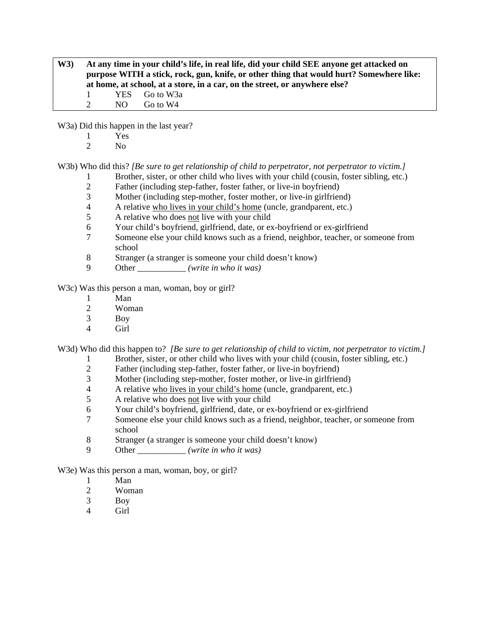**W3) At any time in your child's life, in real life, did your child SEE anyone get attacked on purpose WITH a stick, rock, gun, knife, or other thing that would hurt? Somewhere like: at home, at school, at a store, in a car, on the street, or anywhere else?**  1 YES Go to W3a 2 NO Go to W4

W3a) Did this happen in the last year?

- $\frac{1}{2}$  Yes
- N<sub>o</sub>

W3b) Who did this? *[Be sure to get relationship of child to perpetrator, not perpetrator to victim.]*

- 1 Brother, sister, or other child who lives with your child (cousin, foster sibling, etc.)
- 2 Father (including step-father, foster father, or live-in boyfriend)
- 3 Mother (including step-mother, foster mother, or live-in girlfriend)
- 4 A relative who lives in your child's home (uncle, grandparent, etc.)
- 5 A relative who does not live with your child
- 6 Your child's boyfriend, girlfriend, date, or ex-boyfriend or ex-girlfriend
- 7 Someone else your child knows such as a friend, neighbor, teacher, or someone from school
- 8 Stranger (a stranger is someone your child doesn't know)
- 9 Other \_\_\_\_\_\_\_\_\_\_\_ *(write in who it was)*

W<sub>3</sub>c) Was this person a man, woman, boy or girl?

- 1 Man
- 2 Woman
- 3 Boy
- 4 Girl

W3d) Who did this happen to? *[Be sure to get relationship of child to victim, not perpetrator to victim.]*

- 1 Brother, sister, or other child who lives with your child (cousin, foster sibling, etc.)
- 2 Father (including step-father, foster father, or live-in boyfriend)
- 3 Mother (including step-mother, foster mother, or live-in girlfriend)
- 4 A relative who lives in your child's home (uncle, grandparent, etc.)
- 5 A relative who does not live with your child
- 6 Your child's boyfriend, girlfriend, date, or ex-boyfriend or ex-girlfriend
- 7 Someone else your child knows such as a friend, neighbor, teacher, or someone from school
- 8 Stranger (a stranger is someone your child doesn't know)
- 9 Other \_\_\_\_\_\_\_\_\_\_\_ *(write in who it was)*

W<sub>3</sub>e) Was this person a man, woman, boy, or girl?

- 1 Man
- 2 Woman
- 3 Boy
- 4 Girl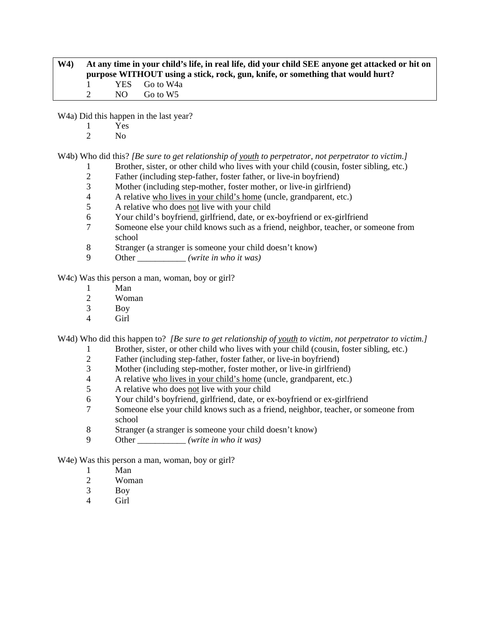# **W4) At any time in your child's life, in real life, did your child SEE anyone get attacked or hit on purpose WITHOUT using a stick, rock, gun, knife, or something that would hurt?**  1 YES Go to W4a 2 NO Go to W5

W4a) Did this happen in the last year?

- 1 Yes
- 2 No

W4b) Who did this? *[Be sure to get relationship of youth to perpetrator, not perpetrator to victim.]* 

- 1 Brother, sister, or other child who lives with your child (cousin, foster sibling, etc.)<br>2 Father (including step-father, foster father, or live-in boyfriend)
	- Father (including step-father, foster father, or live-in boyfriend)
	- 3 Mother (including step-mother, foster mother, or live-in girlfriend)
	- 4 A relative who lives in your child's home (uncle, grandparent, etc.)
	- 5 A relative who does not live with your child
	- 6 Your child's boyfriend, girlfriend, date, or ex-boyfriend or ex-girlfriend
- 7 Someone else your child knows such as a friend, neighbor, teacher, or someone from school
- 8 Stranger (a stranger is someone your child doesn't know)
- 9 Other \_\_\_\_\_\_\_\_\_\_\_ *(write in who it was)*

W<sub>4c</sub>) Was this person a man, woman, boy or girl?

- 1 Man
- 2 Woman
- 3 Boy
- 4 Girl

W4d) Who did this happen to? *[Be sure to get relationship of youth to victim, not perpetrator to victim.]* 

- 1 Brother, sister, or other child who lives with your child (cousin, foster sibling, etc.)
- 2 Father (including step-father, foster father, or live-in boyfriend)
- 3 Mother (including step-mother, foster mother, or live-in girlfriend)
- 4 A relative who lives in your child's home (uncle, grandparent, etc.)
- 5 A relative who does not live with your child
- 6 Your child's boyfriend, girlfriend, date, or ex-boyfriend or ex-girlfriend
- 7 Someone else your child knows such as a friend, neighbor, teacher, or someone from school
- 8 Stranger (a stranger is someone your child doesn't know)
- 9 Other \_\_\_\_\_\_\_\_\_\_\_ *(write in who it was)*

W<sub>4</sub>e) Was this person a man, woman, boy or girl?

- 1 Man
- 2 Woman
- 3 Boy
- 4 Girl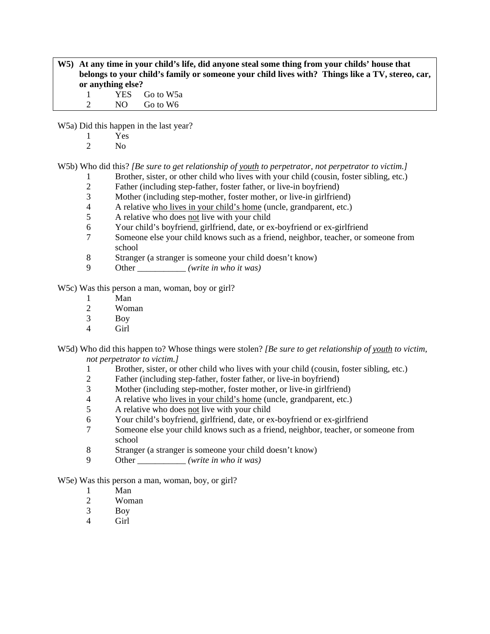# **W5) At any time in your child's life, did anyone steal some thing from your childs' house that belongs to your child's family or someone your child lives with? Things like a TV, stereo, car, or anything else?**

1 YES Go to W5a 2 NO Go to W6

W5a) Did this happen in the last year?

- $\frac{1}{2}$  Yes
	- N<sub>o</sub>

W5b) Who did this? *[Be sure to get relationship of youth to perpetrator, not perpetrator to victim.]*

- 1 Brother, sister, or other child who lives with your child (cousin, foster sibling, etc.)
- 2 Father (including step-father, foster father, or live-in boyfriend)
- 3 Mother (including step-mother, foster mother, or live-in girlfriend)
- 4 A relative who lives in your child's home (uncle, grandparent, etc.)
- 5 A relative who does not live with your child
- 6 Your child's boyfriend, girlfriend, date, or ex-boyfriend or ex-girlfriend
- 7 Someone else your child knows such as a friend, neighbor, teacher, or someone from school
- 8 Stranger (a stranger is someone your child doesn't know)
- 9 Other \_\_\_\_\_\_\_\_\_\_\_ *(write in who it was)*

W<sub>5</sub>c) Was this person a man, woman, boy or girl?

- 1 Man
- 2 Woman
- 3 Boy
- 4 Girl

W5d) Who did this happen to? Whose things were stolen? *[Be sure to get relationship of youth to victim, not perpetrator to victim.]*

- 1 Brother, sister, or other child who lives with your child (cousin, foster sibling, etc.)
- 2 Father (including step-father, foster father, or live-in boyfriend)
- 3 Mother (including step-mother, foster mother, or live-in girlfriend)
- 4 A relative who lives in your child's home (uncle, grandparent, etc.)
- 5 A relative who does not live with your child
- 6 Your child's boyfriend, girlfriend, date, or ex-boyfriend or ex-girlfriend
- 7 Someone else your child knows such as a friend, neighbor, teacher, or someone from school
- 8 Stranger (a stranger is someone your child doesn't know)
- 9 Other \_\_\_\_\_\_\_\_\_\_\_ *(write in who it was)*

W5e) Was this person a man, woman, boy, or girl?

- 1 Man
- 2 Woman
- 3 Boy
- 4 Girl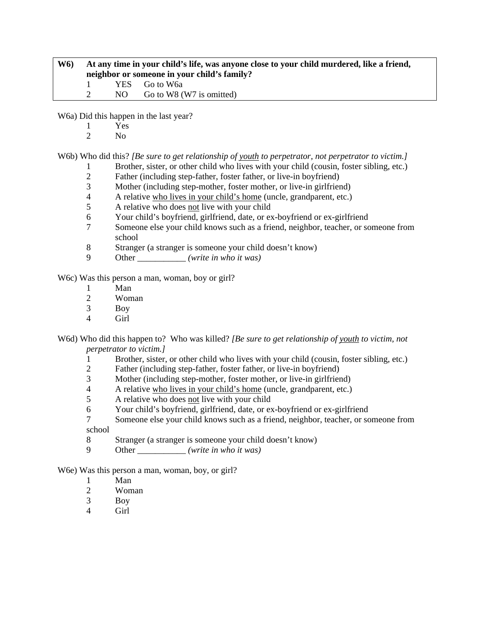### **W6) At any time in your child's life, was anyone close to your child murdered, like a friend, neighbor or someone in your child's family?**  1 YES Go to W6a 2 NO Go to W8 (W7 is omitted)

W6a) Did this happen in the last year?

- 1 Yes
- 2 No

W6b) Who did this? *[Be sure to get relationship of youth to perpetrator, not perpetrator to victim.]*

- 1 Brother, sister, or other child who lives with your child (cousin, foster sibling, etc.)<br>2 Father (including step-father, foster father, or live-in boyfriend)
	- Father (including step-father, foster father, or live-in boyfriend)
	- 3 Mother (including step-mother, foster mother, or live-in girlfriend)
	- 4 A relative who lives in your child's home (uncle, grandparent, etc.)
	- 5 A relative who does not live with your child
	- 6 Your child's boyfriend, girlfriend, date, or ex-boyfriend or ex-girlfriend
- 7 Someone else your child knows such as a friend, neighbor, teacher, or someone from school
- 8 Stranger (a stranger is someone your child doesn't know)
- 9 Other \_\_\_\_\_\_\_\_\_\_\_ *(write in who it was)*

W6c) Was this person a man, woman, boy or girl?

- 1 Man
- 2 Woman
- 3 Boy
- 4 Girl

W6d) Who did this happen to? Who was killed? *[Be sure to get relationship of youth to victim, not perpetrator to victim.]*

- 1 Brother, sister, or other child who lives with your child (cousin, foster sibling, etc.)
- 2 Father (including step-father, foster father, or live-in boyfriend)
- 3 Mother (including step-mother, foster mother, or live-in girlfriend)
- 4 A relative who lives in your child's home (uncle, grandparent, etc.)
- 5 A relative who does not live with your child
- 6 Your child's boyfriend, girlfriend, date, or ex-boyfriend or ex-girlfriend
- 7 Someone else your child knows such as a friend, neighbor, teacher, or someone from school
- 8 Stranger (a stranger is someone your child doesn't know)<br>9 Other (write in who it was)
- Other *(write in who it was)*

W6e) Was this person a man, woman, boy, or girl?

- 1 Man
- 2 Woman
- 3 Boy
- 4 Girl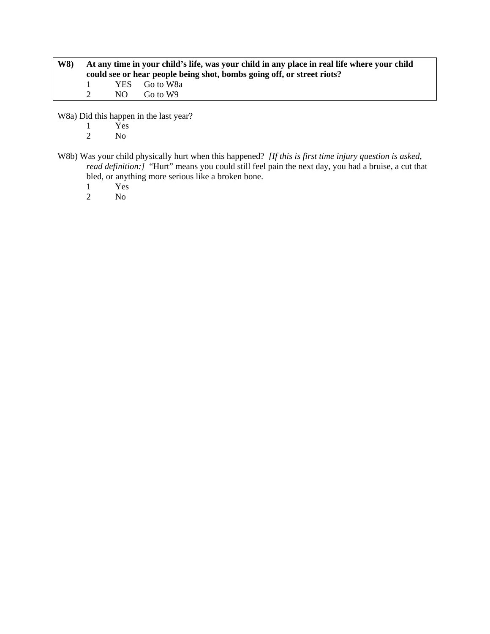| <b>W8</b> ) |                     | At any time in your child's life, was your child in any place in real life where your child<br>could see or hear people being shot, bombs going off, or street riots? |               |  |
|-------------|---------------------|-----------------------------------------------------------------------------------------------------------------------------------------------------------------------|---------------|--|
|             | $\sim$ 1.000 $\sim$ |                                                                                                                                                                       | YES Go to W8a |  |
|             | $\mathcal{D}$       |                                                                                                                                                                       | NO Go to W9   |  |

W8a) Did this happen in the last year?

- 1 Yes<br>2 No
- $\rm No$
- W8b) Was your child physically hurt when this happened? *[If this is first time injury question is asked, read definition:]* "Hurt" means you could still feel pain the next day, you had a bruise, a cut that bled, or anything more serious like a broken bone.
	- 1 Yes<br>2 No
	- 2 No